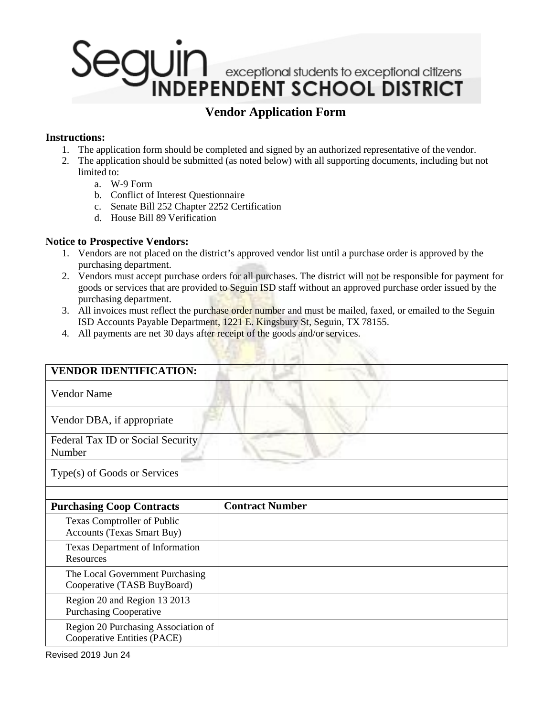# l JIM **UII** I exceptional students to exceptional citizens<br>INDEPENDENT SCHOOL DISTRICT

### **Vendor Application Form**

#### **Instructions:**

- 1. The application form should be completed and signed by an authorized representative of the vendor.
- 2. The application should be submitted (as noted below) with all supporting documents, including but not limited to:
	- a. W-9 Form
	- b. Conflict of Interest Questionnaire
	- c. Senate Bill 252 Chapter 2252 Certification
	- d. House Bill 89 Verification

#### **Notice to Prospective Vendors:**

- 1. Vendors are not placed on the district's approved vendor list until a purchase order is approved by the purchasing department.
- 2. Vendors must accept purchase orders for all purchases. The district will not be responsible for payment for goods or services that are provided to Seguin ISD staff without an approved purchase order issued by the purchasing department.
- 3. All invoices must reflect the purchase order number and must be mailed, faxed, or emailed to the Seguin ISD Accounts Payable Department, 1221 E. Kingsbury St, Seguin, TX 78155.
- 4. All payments are net 30 days after receipt of the goods and/or services.

| <b>VENDOR IDENTIFICATION:</b>                                      |                        |
|--------------------------------------------------------------------|------------------------|
| <b>Vendor Name</b>                                                 |                        |
| Vendor DBA, if appropriate                                         |                        |
| Federal Tax ID or Social Security<br>Number                        |                        |
| Type(s) of Goods or Services                                       |                        |
|                                                                    |                        |
| <b>Purchasing Coop Contracts</b>                                   | <b>Contract Number</b> |
| Texas Comptroller of Public                                        |                        |
| <b>Accounts (Texas Smart Buy)</b>                                  |                        |
| <b>Texas Department of Information</b>                             |                        |
|                                                                    |                        |
| Resources                                                          |                        |
|                                                                    |                        |
| The Local Government Purchasing<br>Cooperative (TASB BuyBoard)     |                        |
|                                                                    |                        |
| Region 20 and Region 13 2013<br><b>Purchasing Cooperative</b>      |                        |
|                                                                    |                        |
| Region 20 Purchasing Association of<br>Cooperative Entities (PACE) |                        |

Revised 2019 Jun 24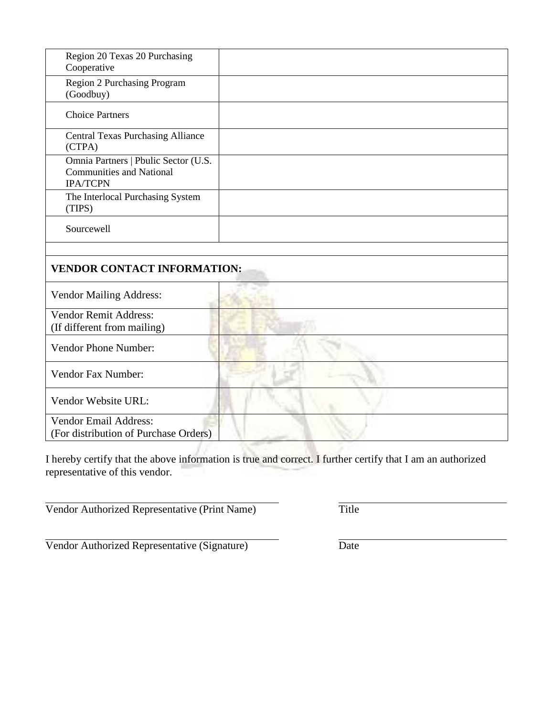| Region 20 Texas 20 Purchasing<br>Cooperative                                               |  |
|--------------------------------------------------------------------------------------------|--|
| Region 2 Purchasing Program<br>(Goodbuy)                                                   |  |
| <b>Choice Partners</b>                                                                     |  |
| <b>Central Texas Purchasing Alliance</b><br>(CTPA)                                         |  |
| Omnia Partners   Pbulic Sector (U.S.<br><b>Communities and National</b><br><b>IPA/TCPN</b> |  |
| The Interlocal Purchasing System<br>(TIPS)                                                 |  |
| Sourcewell                                                                                 |  |
|                                                                                            |  |

### **VENDOR CONTACT INFORMATION:**

| <b>Vendor Mailing Address:</b>        |  |
|---------------------------------------|--|
| Vendor Remit Address:                 |  |
| (If different from mailing)           |  |
| <b>Vendor Phone Number:</b>           |  |
| Vendor Fax Number:                    |  |
| Vendor Website URL:                   |  |
| <b>Vendor Email Address:</b>          |  |
| (For distribution of Purchase Orders) |  |

I hereby certify that the above information is true and correct. I further certify that I am an authorized representative of this vendor.

Vendor Authorized Representative (Print Name) Title

Vendor Authorized Representative (Signature) Date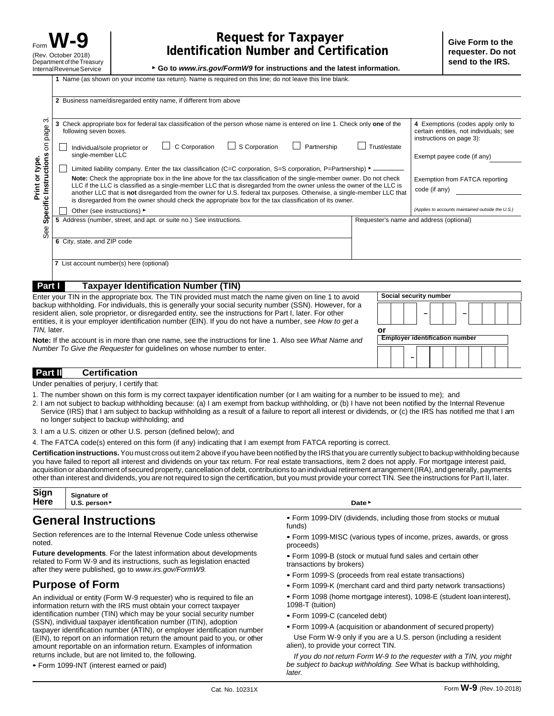▶ **Go to** *[www.irs.gov/FormW9](http://www.irs.gov/FormW9)* **for instructions and the latest information.**

|                                       | 2 Business name/disregarded entity name, if different from above                                                                                                                                                                                                                                                                                                                                                                                                                                                                                                                                                                                                                                                                                                                           |                                                                                                                                       |  |
|---------------------------------------|--------------------------------------------------------------------------------------------------------------------------------------------------------------------------------------------------------------------------------------------------------------------------------------------------------------------------------------------------------------------------------------------------------------------------------------------------------------------------------------------------------------------------------------------------------------------------------------------------------------------------------------------------------------------------------------------------------------------------------------------------------------------------------------------|---------------------------------------------------------------------------------------------------------------------------------------|--|
| ო<br>on page                          | 3 Check appropriate box for federal tax classification of the person whose name is entered on line 1. Check only one of the<br>following seven boxes.<br>C Corporation<br>$\Box$ S Corporation<br>Partnership<br>Trust/estate<br>Individual/sole proprietor or<br>single-member LLC                                                                                                                                                                                                                                                                                                                                                                                                                                                                                                        | 4 Exemptions (codes apply only to<br>certain entities, not individuals; see<br>instructions on page 3):<br>Exempt payee code (if any) |  |
| type.<br>$\overline{\sigma}$<br>Print | Specific Instructions<br>Limited liability company. Enter the tax classification (C=C corporation, S=S corporation, P=Partnership) $\blacktriangleright$ _____<br>Note: Check the appropriate box in the line above for the tax classification of the single-member owner. Do not check<br>Exemption from FATCA reporting<br>LLC if the LLC is classified as a single-member LLC that is disregarded from the owner unless the owner of the LLC is<br>code (if any)<br>another LLC that is not disregarded from the owner for U.S. federal tax purposes. Otherwise, a single-member LLC that<br>is disregarded from the owner should check the appropriate box for the tax classification of its owner.<br>(Applies to accounts maintained outside the U.S.)<br>Other (see instructions) ► |                                                                                                                                       |  |
| See                                   | 5 Address (number, street, and apt. or suite no.) See instructions.                                                                                                                                                                                                                                                                                                                                                                                                                                                                                                                                                                                                                                                                                                                        | Requester's name and address (optional)                                                                                               |  |
|                                       | 6 City, state, and ZIP code                                                                                                                                                                                                                                                                                                                                                                                                                                                                                                                                                                                                                                                                                                                                                                |                                                                                                                                       |  |
|                                       | 7 List account number(s) here (optional)                                                                                                                                                                                                                                                                                                                                                                                                                                                                                                                                                                                                                                                                                                                                                   |                                                                                                                                       |  |
| Part I                                | <b>Taxpayer Identification Number (TIN)</b>                                                                                                                                                                                                                                                                                                                                                                                                                                                                                                                                                                                                                                                                                                                                                |                                                                                                                                       |  |

| Enter your TIN in the appropriate box. The TIN provided must match the name given on line 1 to avoid                                                                                                                                                                                                                              | Social security number                |
|-----------------------------------------------------------------------------------------------------------------------------------------------------------------------------------------------------------------------------------------------------------------------------------------------------------------------------------|---------------------------------------|
| backup withholding. For individuals, this is generally your social security number (SSN). However, for a<br>resident alien, sole proprietor, or disregarded entity, see the instructions for Part I, later. For other<br>entities, it is your employer identification number (EIN). If you do not have a number, see How to get a |                                       |
| TIN, later.                                                                                                                                                                                                                                                                                                                       | or                                    |
| Note: If the account is in more than one name, see the instructions for line 1. Also see What Name and                                                                                                                                                                                                                            | <b>Employer identification number</b> |
| Number To Give the Requester for guidelines on whose number to enter.                                                                                                                                                                                                                                                             |                                       |
|                                                                                                                                                                                                                                                                                                                                   |                                       |

**Part II Certification**

Under penalties of perjury, I certify that:

- 1. The number shown on this form is my correct taxpayer identification number (or I am waiting for a number to be issued to me); and
- 2. I am not subject to backup withholding because: (a) I am exempt from backup withholding, or (b) I have not been notified by the Internal Revenue Service (IRS) that I am subject to backup withholding as a result of a failure to report all interest or dividends, or (c) the IRS has notified me that I am no longer subject to backup withholding; and
- 3. I am a U.S. citizen or other U.S. person (defined below); and
- 4. The FATCA code(s) entered on this form (if any) indicating that I am exempt from FATCA reporting is correct.

Certification instructions. You must cross out item 2 above if you have been notified by the IRS that you are currently subject to backup withholding because you have failed to report all interest and dividends on your tax return. For real estate transactions, item 2 does not apply. For mortgage interest paid, acquisition or abandonment of secured property, cancellation of debt, contributions to an individual retirement arrangement (IRA), and generally, payments other than interest and dividends, you are not required to sign the certification, but you must provide your correct TIN. See the instructions for Part II, later.

| Sign   Signature of<br>Here   U.S. person |        |
|-------------------------------------------|--------|
|                                           | Date > |

#### **General Instructions**

Section references are to the Internal Revenue Code unless otherwise noted.

**Future developments**. For the latest information about developments related to Form W-9 and its instructions, such as legislation enacted after they were published, go to *[www.irs.gov/FormW9.](http://www.irs.gov/FormW9)*

#### **Purpose of Form**

An individual or entity (Form W-9 requester) who is required to file an information return with the IRS must obtain your correct taxpayer identification number (TIN) which may be your social security number (SSN), individual taxpayer identification number (ITIN), adoption taxpayer identification number (ATIN), or employer identification number (EIN), to report on an information return the amount paid to you, or other amount reportable on an information return. Examples of information returns include, but are not limited to, the following.

• Form 1099-DIV (dividends, including those from stocks or mutual funds)

• Form 1099-MISC (various types of income, prizes, awards, or gross proceeds)

• Form 1099-B (stock or mutual fund sales and certain other transactions by brokers)

- Form 1099-S (proceeds from real estate transactions)
- Form 1099-K (merchant card and third party network transactions)
- Form 1098 (home mortgage interest), 1098-E (student loaninterest), 1098-T (tuition)
- Form 1099-C (canceled debt)

*later.*

• Form 1099-A (acquisition or abandonment of secured property) Use Form W-9 only if you are a U.S. person (including a resident

alien), to provide your correct TIN. *If you do not return Form W-9 to the requester with a TIN, you might be subject to backup withholding. See* What is backup withholding,

<sup>•</sup> Form 1099-INT (interest earned or paid)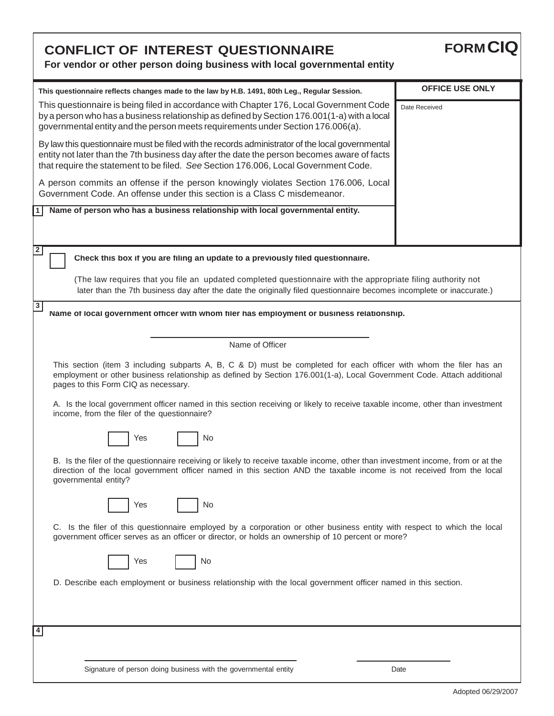| <b>CONFLICT OF INTEREST QUESTIONNAIRE</b><br>For vendor or other person doing business with local governmental entity                                                                                                                                                                  | <b>FORM CIQ</b>        |  |
|----------------------------------------------------------------------------------------------------------------------------------------------------------------------------------------------------------------------------------------------------------------------------------------|------------------------|--|
| This questionnaire reflects changes made to the law by H.B. 1491, 80th Leg., Regular Session.                                                                                                                                                                                          | <b>OFFICE USE ONLY</b> |  |
| This questionnaire is being filed in accordance with Chapter 176, Local Government Code<br>by a person who has a business relationship as defined by Section 176.001(1-a) with a local<br>governmental entity and the person meets requirements under Section 176.006(a).              | Date Received          |  |
| By law this questionnaire must be filed with the records administrator of the local governmental<br>entity not later than the 7th business day after the date the person becomes aware of facts<br>that require the statement to be filed. See Section 176.006, Local Government Code. |                        |  |
| A person commits an offense if the person knowingly violates Section 176.006, Local<br>Government Code. An offense under this section is a Class C misdemeanor.                                                                                                                        |                        |  |
| Name of person who has a business relationship with local governmental entity.                                                                                                                                                                                                         |                        |  |
| 2<br>Check this box if you are filing an update to a previously filed questionnaire.                                                                                                                                                                                                   |                        |  |
| (The law requires that you file an updated completed questionnaire with the appropriate filing authority not<br>later than the 7th business day after the date the originally filed questionnaire becomes incomplete or inaccurate.)                                                   |                        |  |
| 3<br>Name of local government officer with whom filer has employment or business relationship.                                                                                                                                                                                         |                        |  |
| Name of Officer                                                                                                                                                                                                                                                                        |                        |  |
| This section (item 3 including subparts A, B, C & D) must be completed for each officer with whom the filer has an<br>employment or other business relationship as defined by Section 176.001(1-a), Local Government Code. Attach additional<br>pages to this Form CIQ as necessary.   |                        |  |
| A. Is the local government officer named in this section receiving or likely to receive taxable income, other than investment<br>income, from the filer of the questionnaire?                                                                                                          |                        |  |
| ┍<br>No<br>Yes                                                                                                                                                                                                                                                                         |                        |  |
| B. Is the filer of the questionnaire receiving or likely to receive taxable income, other than investment income, from or at the<br>direction of the local government officer named in this section AND the taxable income is not received from the local<br>governmental entity?      |                        |  |
| No<br>Yes                                                                                                                                                                                                                                                                              |                        |  |
| C. Is the filer of this questionnaire employed by a corporation or other business entity with respect to which the local<br>government officer serves as an officer or director, or holds an ownership of 10 percent or more?                                                          |                        |  |
| No<br>Yes                                                                                                                                                                                                                                                                              |                        |  |
| D. Describe each employment or business relationship with the local government officer named in this section.                                                                                                                                                                          |                        |  |
| 4                                                                                                                                                                                                                                                                                      |                        |  |
|                                                                                                                                                                                                                                                                                        |                        |  |
| Signature of person doing business with the governmental entity                                                                                                                                                                                                                        | Date                   |  |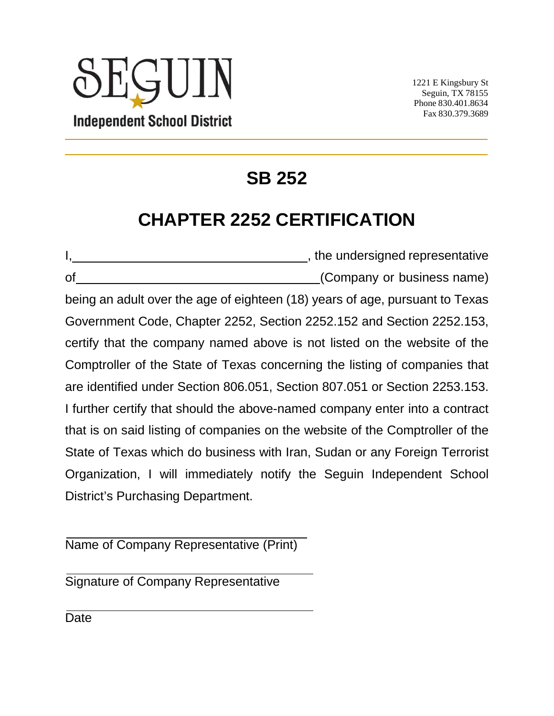# **JUIN Independent School District**

1221 E Kingsbury St Seguin, TX 78155 Phone 830.401.8634 Fax 830.379.3689

# **SB 252**

## **CHAPTER 2252 CERTIFICATION**

I, , the undersigned representative of (Company or business name) being an adult over the age of eighteen (18) years of age, pursuant to Texas Government Code, Chapter 2252, Section 2252.152 and Section 2252.153, certify that the company named above is not listed on the website of the Comptroller of the State of Texas concerning the listing of companies that are identified under Section 806.051, Section 807.051 or Section 2253.153. I further certify that should the above-named company enter into a contract that is on said listing of companies on the website of the Comptroller of the State of Texas which do business with Iran, Sudan or any Foreign Terrorist Organization, I will immediately notify the Seguin Independent School District's Purchasing Department.

Name of Company Representative (Print)

Signature of Company Representative

**Date**